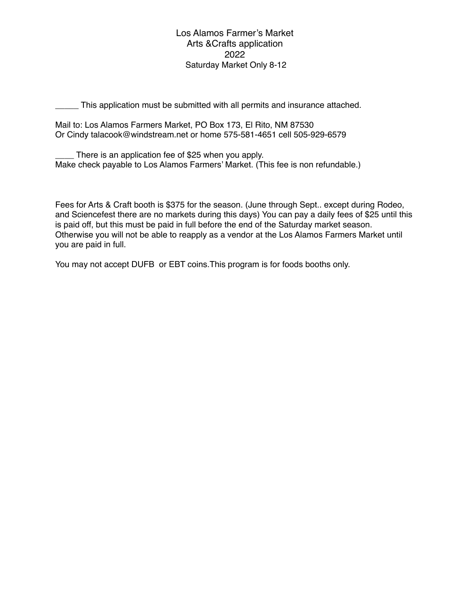Los Alamos Farmer's Market Arts &Crafts application 2022 Saturday Market Only 8-12

\_\_\_\_\_ This application must be submitted with all permits and insurance attached.

Mail to: Los Alamos Farmers Market, PO Box 173, El Rito, NM 87530 Or Cindy talacook@windstream.net or home 575-581-4651 cell 505-929-6579

There is an application fee of \$25 when you apply. Make check payable to Los Alamos Farmers' Market. (This fee is non refundable.)

Fees for Arts & Craft booth is \$375 for the season. (June through Sept.. except during Rodeo, and Sciencefest there are no markets during this days) You can pay a daily fees of \$25 until this is paid off, but this must be paid in full before the end of the Saturday market season. Otherwise you will not be able to reapply as a vendor at the Los Alamos Farmers Market until you are paid in full.

You may not accept DUFB or EBT coins.This program is for foods booths only.